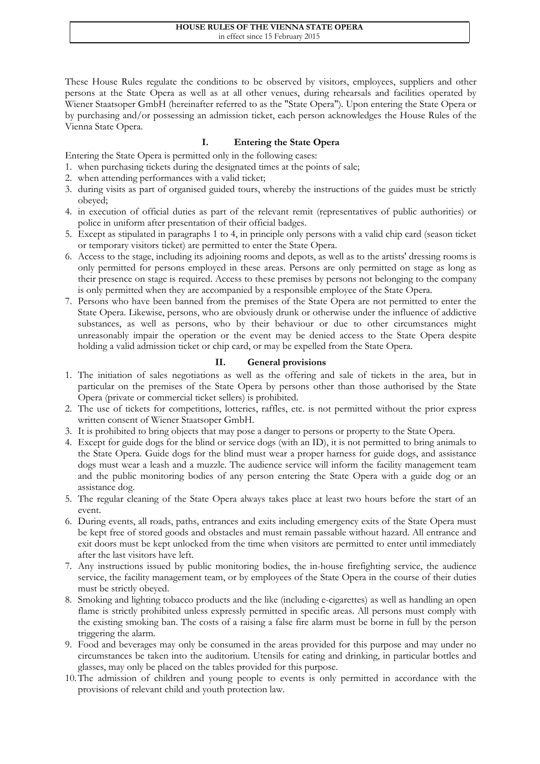These House Rules regulate the conditions to be observed by visitors, employees, suppliers and other persons at the State Opera as well as at all other venues, during rehearsals and facilities operated by Wiener Staatsoper GmbH (hereinafter referred to as the "State Opera"). Upon entering the State Opera or by purchasing and/or possessing an admission ticket, each person acknowledges the House Rules of the Vienna State Opera.

## **I. Entering the State Opera**

- Entering the State Opera is permitted only in the following cases:
- 1. when purchasing tickets during the designated times at the points of sale;
- 2. when attending performances with a valid ticket;
- 3. during visits as part of organised guided tours, whereby the instructions of the guides must be strictly obeyed;
- 4. in execution of official duties as part of the relevant remit (representatives of public authorities) or police in uniform after presentation of their official badges.
- 5. Except as stipulated in paragraphs 1 to 4, in principle only persons with a valid chip card (season ticket or temporary visitors ticket) are permitted to enter the State Opera.
- 6. Access to the stage, including its adjoining rooms and depots, as well as to the artists' dressing rooms is only permitted for persons employed in these areas. Persons are only permitted on stage as long as their presence on stage is required. Access to these premises by persons not belonging to the company is only permitted when they are accompanied by a responsible employee of the State Opera.
- 7. Persons who have been banned from the premises of the State Opera are not permitted to enter the State Opera. Likewise, persons, who are obviously drunk or otherwise under the influence of addictive substances, as well as persons, who by their behaviour or due to other circumstances might unreasonably impair the operation or the event may be denied access to the State Opera despite holding a valid admission ticket or chip card, or may be expelled from the State Opera.

## **II. General provisions**

- 1. The initiation of sales negotiations as well as the offering and sale of tickets in the area, but in particular on the premises of the State Opera by persons other than those authorised by the State Opera (private or commercial ticket sellers) is prohibited.
- 2. The use of tickets for competitions, lotteries, raffles, etc. is not permitted without the prior express written consent of Wiener Staatsoper GmbH.
- 3. It is prohibited to bring objects that may pose a danger to persons or property to the State Opera.
- 4. Except for guide dogs for the blind or service dogs (with an ID), it is not permitted to bring animals to the State Opera. Guide dogs for the blind must wear a proper harness for guide dogs, and assistance dogs must wear a leash and a muzzle. The audience service will inform the facility management team and the public monitoring bodies of any person entering the State Opera with a guide dog or an assistance dog.
- 5. The regular cleaning of the State Opera always takes place at least two hours before the start of an event.
- 6. During events, all roads, paths, entrances and exits including emergency exits of the State Opera must be kept free of stored goods and obstacles and must remain passable without hazard. All entrance and exit doors must be kept unlocked from the time when visitors are permitted to enter until immediately after the last visitors have left.
- 7. Any instructions issued by public monitoring bodies, the in-house firefighting service, the audience service, the facility management team, or by employees of the State Opera in the course of their duties must be strictly obeyed.
- 8. Smoking and lighting tobacco products and the like (including e-cigarettes) as well as handling an open flame is strictly prohibited unless expressly permitted in specific areas. All persons must comply with the existing smoking ban. The costs of a raising a false fire alarm must be borne in full by the person triggering the alarm.
- 9. Food and beverages may only be consumed in the areas provided for this purpose and may under no circumstances be taken into the auditorium. Utensils for eating and drinking, in particular bottles and glasses, may only be placed on the tables provided for this purpose.
- 10.The admission of children and young people to events is only permitted in accordance with the provisions of relevant child and youth protection law.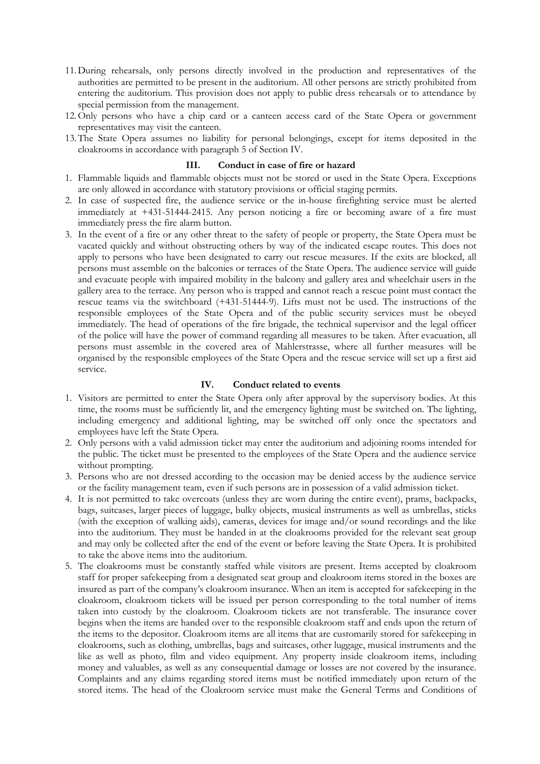- 11.During rehearsals, only persons directly involved in the production and representatives of the authorities are permitted to be present in the auditorium. All other persons are strictly prohibited from entering the auditorium. This provision does not apply to public dress rehearsals or to attendance by special permission from the management.
- 12.Only persons who have a chip card or a canteen access card of the State Opera or government representatives may visit the canteen.
- 13.The State Opera assumes no liability for personal belongings, except for items deposited in the cloakrooms in accordance with paragraph 5 of Section IV.

#### **III. Conduct in case of fire or hazard**

- 1. Flammable liquids and flammable objects must not be stored or used in the State Opera. Exceptions are only allowed in accordance with statutory provisions or official staging permits.
- 2. In case of suspected fire, the audience service or the in-house firefighting service must be alerted immediately at +431-51444-2415. Any person noticing a fire or becoming aware of a fire must immediately press the fire alarm button.
- 3. In the event of a fire or any other threat to the safety of people or property, the State Opera must be vacated quickly and without obstructing others by way of the indicated escape routes. This does not apply to persons who have been designated to carry out rescue measures. If the exits are blocked, all persons must assemble on the balconies or terraces of the State Opera. The audience service will guide and evacuate people with impaired mobility in the balcony and gallery area and wheelchair users in the gallery area to the terrace. Any person who is trapped and cannot reach a rescue point must contact the rescue teams via the switchboard (+431-51444-9). Lifts must not be used. The instructions of the responsible employees of the State Opera and of the public security services must be obeyed immediately. The head of operations of the fire brigade, the technical supervisor and the legal officer of the police will have the power of command regarding all measures to be taken. After evacuation, all persons must assemble in the covered area of Mahlerstrasse, where all further measures will be organised by the responsible employees of the State Opera and the rescue service will set up a first aid service.

### **IV. Conduct related to events**

- 1. Visitors are permitted to enter the State Opera only after approval by the supervisory bodies. At this time, the rooms must be sufficiently lit, and the emergency lighting must be switched on. The lighting, including emergency and additional lighting, may be switched off only once the spectators and employees have left the State Opera.
- 2. Only persons with a valid admission ticket may enter the auditorium and adjoining rooms intended for the public. The ticket must be presented to the employees of the State Opera and the audience service without prompting.
- 3. Persons who are not dressed according to the occasion may be denied access by the audience service or the facility management team, even if such persons are in possession of a valid admission ticket.
- 4. It is not permitted to take overcoats (unless they are worn during the entire event), prams, backpacks, bags, suitcases, larger pieces of luggage, bulky objects, musical instruments as well as umbrellas, sticks (with the exception of walking aids), cameras, devices for image and/or sound recordings and the like into the auditorium. They must be handed in at the cloakrooms provided for the relevant seat group and may only be collected after the end of the event or before leaving the State Opera. It is prohibited to take the above items into the auditorium.
- 5. The cloakrooms must be constantly staffed while visitors are present. Items accepted by cloakroom staff for proper safekeeping from a designated seat group and cloakroom items stored in the boxes are insured as part of the company's cloakroom insurance. When an item is accepted for safekeeping in the cloakroom, cloakroom tickets will be issued per person corresponding to the total number of items taken into custody by the cloakroom. Cloakroom tickets are not transferable. The insurance cover begins when the items are handed over to the responsible cloakroom staff and ends upon the return of the items to the depositor. Cloakroom items are all items that are customarily stored for safekeeping in cloakrooms, such as clothing, umbrellas, bags and suitcases, other luggage, musical instruments and the like as well as photo, film and video equipment. Any property inside cloakroom items, including money and valuables, as well as any consequential damage or losses are not covered by the insurance. Complaints and any claims regarding stored items must be notified immediately upon return of the stored items. The head of the Cloakroom service must make the General Terms and Conditions of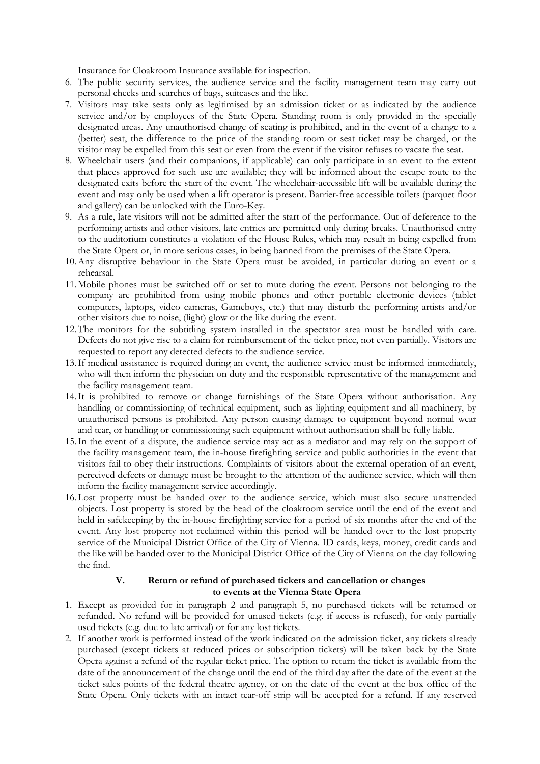Insurance for Cloakroom Insurance available for inspection.

- 6. The public security services, the audience service and the facility management team may carry out personal checks and searches of bags, suitcases and the like.
- 7. Visitors may take seats only as legitimised by an admission ticket or as indicated by the audience service and/or by employees of the State Opera. Standing room is only provided in the specially designated areas. Any unauthorised change of seating is prohibited, and in the event of a change to a (better) seat, the difference to the price of the standing room or seat ticket may be charged, or the visitor may be expelled from this seat or even from the event if the visitor refuses to vacate the seat.
- 8. Wheelchair users (and their companions, if applicable) can only participate in an event to the extent that places approved for such use are available; they will be informed about the escape route to the designated exits before the start of the event. The wheelchair-accessible lift will be available during the event and may only be used when a lift operator is present. Barrier-free accessible toilets (parquet floor and gallery) can be unlocked with the Euro-Key.
- 9. As a rule, late visitors will not be admitted after the start of the performance. Out of deference to the performing artists and other visitors, late entries are permitted only during breaks. Unauthorised entry to the auditorium constitutes a violation of the House Rules, which may result in being expelled from the State Opera or, in more serious cases, in being banned from the premises of the State Opera.
- 10.Any disruptive behaviour in the State Opera must be avoided, in particular during an event or a rehearsal.
- 11.Mobile phones must be switched off or set to mute during the event. Persons not belonging to the company are prohibited from using mobile phones and other portable electronic devices (tablet computers, laptops, video cameras, Gameboys, etc.) that may disturb the performing artists and/or other visitors due to noise, (light) glow or the like during the event.
- 12.The monitors for the subtitling system installed in the spectator area must be handled with care. Defects do not give rise to a claim for reimbursement of the ticket price, not even partially. Visitors are requested to report any detected defects to the audience service.
- 13.If medical assistance is required during an event, the audience service must be informed immediately, who will then inform the physician on duty and the responsible representative of the management and the facility management team.
- 14.It is prohibited to remove or change furnishings of the State Opera without authorisation. Any handling or commissioning of technical equipment, such as lighting equipment and all machinery, by unauthorised persons is prohibited. Any person causing damage to equipment beyond normal wear and tear, or handling or commissioning such equipment without authorisation shall be fully liable.
- 15.In the event of a dispute, the audience service may act as a mediator and may rely on the support of the facility management team, the in-house firefighting service and public authorities in the event that visitors fail to obey their instructions. Complaints of visitors about the external operation of an event, perceived defects or damage must be brought to the attention of the audience service, which will then inform the facility management service accordingly.
- 16.Lost property must be handed over to the audience service, which must also secure unattended objects. Lost property is stored by the head of the cloakroom service until the end of the event and held in safekeeping by the in-house firefighting service for a period of six months after the end of the event. Any lost property not reclaimed within this period will be handed over to the lost property service of the Municipal District Office of the City of Vienna. ID cards, keys, money, credit cards and the like will be handed over to the Municipal District Office of the City of Vienna on the day following the find.

# **V. Return or refund of purchased tickets and cancellation or changes to events at the Vienna State Opera**

- 1. Except as provided for in paragraph 2 and paragraph 5, no purchased tickets will be returned or refunded. No refund will be provided for unused tickets (e.g. if access is refused), for only partially used tickets (e.g. due to late arrival) or for any lost tickets.
- 2. If another work is performed instead of the work indicated on the admission ticket, any tickets already purchased (except tickets at reduced prices or subscription tickets) will be taken back by the State Opera against a refund of the regular ticket price. The option to return the ticket is available from the date of the announcement of the change until the end of the third day after the date of the event at the ticket sales points of the federal theatre agency, or on the date of the event at the box office of the State Opera. Only tickets with an intact tear-off strip will be accepted for a refund. If any reserved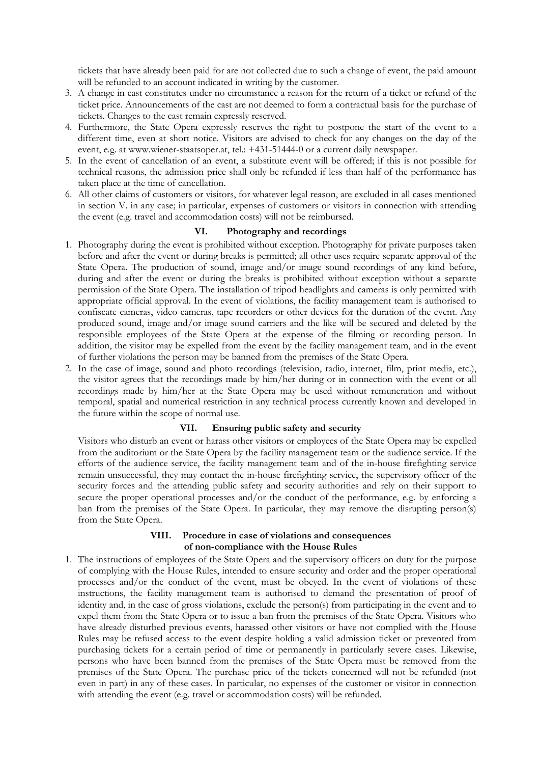tickets that have already been paid for are not collected due to such a change of event, the paid amount will be refunded to an account indicated in writing by the customer.

- 3. A change in cast constitutes under no circumstance a reason for the return of a ticket or refund of the ticket price. Announcements of the cast are not deemed to form a contractual basis for the purchase of tickets. Changes to the cast remain expressly reserved.
- 4. Furthermore, the State Opera expressly reserves the right to postpone the start of the event to a different time, even at short notice. Visitors are advised to check for any changes on the day of the event, e.g. at www.wiener-staatsoper.at, tel.: +431-51444-0 or a current daily newspaper.
- 5. In the event of cancellation of an event, a substitute event will be offered; if this is not possible for technical reasons, the admission price shall only be refunded if less than half of the performance has taken place at the time of cancellation.
- 6. All other claims of customers or visitors, for whatever legal reason, are excluded in all cases mentioned in section V. in any case; in particular, expenses of customers or visitors in connection with attending the event (e.g. travel and accommodation costs) will not be reimbursed.

#### **VI. Photography and recordings**

- 1. Photography during the event is prohibited without exception. Photography for private purposes taken before and after the event or during breaks is permitted; all other uses require separate approval of the State Opera. The production of sound, image and/or image sound recordings of any kind before, during and after the event or during the breaks is prohibited without exception without a separate permission of the State Opera. The installation of tripod headlights and cameras is only permitted with appropriate official approval. In the event of violations, the facility management team is authorised to confiscate cameras, video cameras, tape recorders or other devices for the duration of the event. Any produced sound, image and/or image sound carriers and the like will be secured and deleted by the responsible employees of the State Opera at the expense of the filming or recording person. In addition, the visitor may be expelled from the event by the facility management team, and in the event of further violations the person may be banned from the premises of the State Opera.
- 2. In the case of image, sound and photo recordings (television, radio, internet, film, print media, etc.), the visitor agrees that the recordings made by him/her during or in connection with the event or all recordings made by him/her at the State Opera may be used without remuneration and without temporal, spatial and numerical restriction in any technical process currently known and developed in the future within the scope of normal use.

### **VII. Ensuring public safety and security**

Visitors who disturb an event or harass other visitors or employees of the State Opera may be expelled from the auditorium or the State Opera by the facility management team or the audience service. If the efforts of the audience service, the facility management team and of the in-house firefighting service remain unsuccessful, they may contact the in-house firefighting service, the supervisory officer of the security forces and the attending public safety and security authorities and rely on their support to secure the proper operational processes and/or the conduct of the performance, e.g. by enforcing a ban from the premises of the State Opera. In particular, they may remove the disrupting person(s) from the State Opera.

### **VIII. Procedure in case of violations and consequences of non-compliance with the House Rules**

1. The instructions of employees of the State Opera and the supervisory officers on duty for the purpose of complying with the House Rules, intended to ensure security and order and the proper operational processes and/or the conduct of the event, must be obeyed. In the event of violations of these instructions, the facility management team is authorised to demand the presentation of proof of identity and, in the case of gross violations, exclude the person(s) from participating in the event and to expel them from the State Opera or to issue a ban from the premises of the State Opera. Visitors who have already disturbed previous events, harassed other visitors or have not complied with the House Rules may be refused access to the event despite holding a valid admission ticket or prevented from purchasing tickets for a certain period of time or permanently in particularly severe cases. Likewise, persons who have been banned from the premises of the State Opera must be removed from the premises of the State Opera. The purchase price of the tickets concerned will not be refunded (not even in part) in any of these cases. In particular, no expenses of the customer or visitor in connection with attending the event (e.g. travel or accommodation costs) will be refunded.